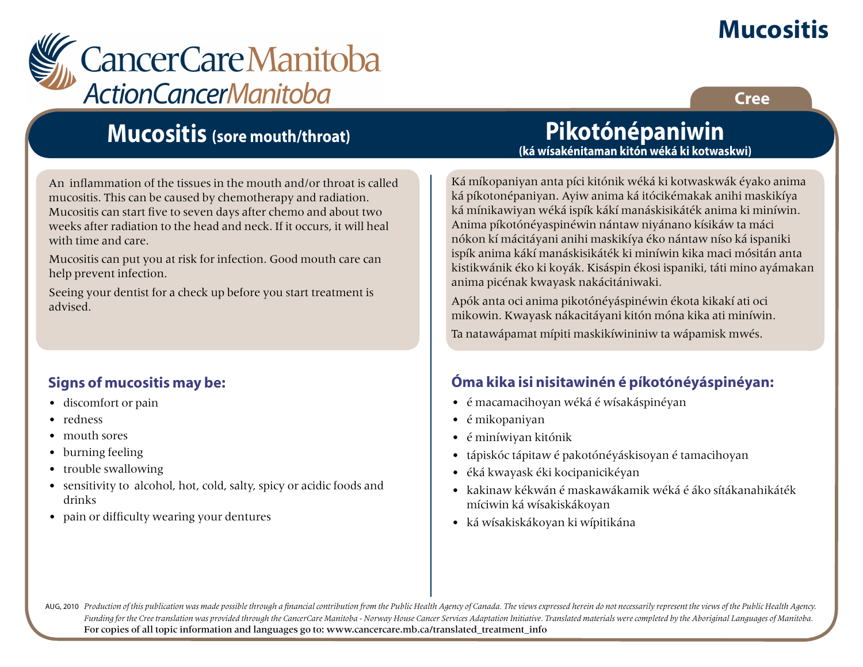## **Mucositis**

**Cree**



### **Mucositis (sore mouth/throat)**

An inflammation of the tissues in the mouth and/or throat is called mucositis. This can be caused by chemotherapy and radiation. Mucositis can start five to seven days after chemo and about two weeks after radiation to the head and neck. If it occurs, it will heal with time and care.

Mucositis can put you at risk for infection. Good mouth care can help prevent infection.

Seeing your dentist for a check up before you start treatment is advised.

### **Signs of mucositis may be:**

- discomfort or pain
- redness
- mouth sores
- burning feeling
- trouble swallowing
- sensitivity to alcohol, hot, cold, salty, spicy or acidic foods and drinks
- pain or difficulty wearing your dentures

### **Pikotónépaniwin (ká wísakénitaman kitón wéká ki kotwaskwi)**

Ká míkopaniyan anta píci kitónik wéká ki kotwaskwák éyako anima ká píkotonépaniyan. Ayiw anima ká itócikémakak anihi maskikíya ká mínikawiyan wéká ispík kákí manáskisikáték anima ki miníwin. Anima píkotónéyaspinéwin nántaw niyánano kísikáw ta máci nókon kí mácitáyani anihi maskikíya éko nántaw níso ká ispaniki ispík anima kákí manáskisikáték ki miníwin kika maci mósitán anta kistikwánik éko ki koyák. Kisáspin ékosi ispaniki, táti mino ayámakan anima picénak kwayask nakácitániwaki.

Apók anta oci anima pikotónéyáspinéwin ékota kikakí ati oci mikowin. Kwayask nákacitáyani kitón móna kika ati miníwin.

Ta natawápamat mípiti maskikíwininiw ta wápamisk mwés.

### **Óma kika isi nisitawinén é píkotónéyáspinéyan:**

- é macamacihoyan wéká é wísakáspinéyan
- é mikopaniyan
- é miníwiyan kitónik
- tápiskóc tápitaw é pakotónéyáskisoyan é tamacihoyan
- éká kwayask éki kocipanicikéyan
- kakinaw kékwán é maskawákamik wéká é áko sítákanahikáték míciwin ká wísakiskákoyan
- ká wísakiskákoyan ki wípitikána

AUG, 2010 Production of this publication was made possible through a financial contribution from the Public Health Agency of Canada. The views expressed herein do not necessarily represent the views of the Public Health Ag *Funding for the Cree translation was provided through the CancerCare Manitoba - Norway House Cancer Services Adaptation Initiative. Translated materials were completed by the Aboriginal Languages of Manitoba.* For copies of all topic information and languages go to: www.cancercare.mb.ca/translated\_treatment\_info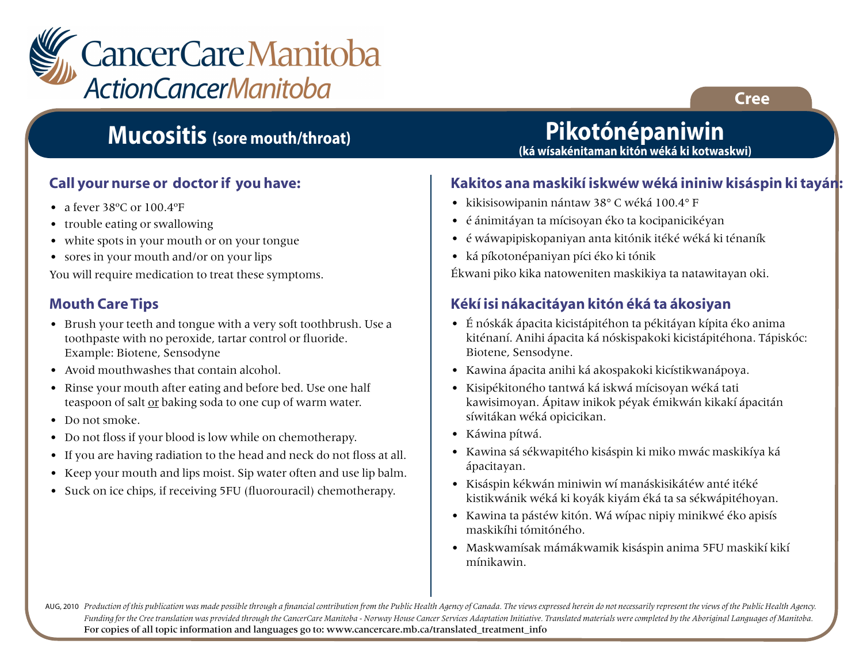

### **Mucositis (sore mouth/throat)**

### **Call your nurse or doctor if you have:**

- a fever 38°C or 100.4°F
- trouble eating or swallowing
- white spots in your mouth or on your tongue
- sores in your mouth and/or on your lips

You will require medication to treat these symptoms.

### **Mouth Care Tips**

- Brush your teeth and tongue with a very soft toothbrush. Use a toothpaste with no peroxide, tartar control or fluoride. Example: Biotene, Sensodyne
- Avoid mouthwashes that contain alcohol.
- Rinse your mouth after eating and before bed. Use one half teaspoon of salt or baking soda to one cup of warm water.
- Do not smoke.
- Do not floss if your blood is low while on chemotherapy.
- If you are having radiation to the head and neck do not floss at all.
- Keep your mouth and lips moist. Sip water often and use lip balm.
- Suck on ice chips, if receiving 5FU (fluorouracil) chemotherapy.

## **Pikotónépaniwin**

**(ká wísakénitaman kitón wéká ki kotwaskwi)**

#### **Kakitos ana maskikí iskwéw wéká ininiw kisáspin ki tayán:**

- kikisisowipanin nántaw 38° C wéká 100.4° F
- é ánimitáyan ta mícisoyan éko ta kocipanicikéyan
- é wáwapipiskopaniyan anta kitónik itéké wéká ki ténaník
- ká píkotonépaniyan píci éko ki tónik

Ékwani piko kika natoweniten maskikiya ta natawitayan oki.

### **Kékí isi nákacitáyan kitón éká ta ákosiyan**

- É nóskák ápacita kicistápitéhon ta pékitáyan kípita éko anima kiténaní. Anihi ápacita ká nóskispakoki kicistápitéhona. Tápiskóc: Biotene, Sensodyne.
- Kawina ápacita anihi ká akospakoki kicístikwanápoya.
- Kisipékitoného tantwá ká iskwá mícisoyan wéká tati kawisimoyan. Ápitaw inikok péyak émikwán kikakí ápacitán síwitákan wéká opicicikan.
- Káwina pítwá.
- Kawina sá sékwapitého kisáspin ki miko mwác maskikíya ká ápacitayan.
- Kisáspin kékwán miniwin wí manáskisikátéw anté itéké kistikwánik wéká ki koyák kiyám éká ta sa sékwápitéhoyan.
- Kawina ta pástéw kitón. Wá wípac nipiy minikwé éko apisís maskikíhi tómitóného.
- Maskwamísak mámákwamik kisáspin anima 5FU maskikí kikí mínikawin.

AUG, 2010 Production of this publication was made possible through a financial contribution from the Public Health Agency of Canada. The views expressed herein do not necessarily represent the views of the Public Health Ag *Funding for the Cree translation was provided through the CancerCare Manitoba - Norway House Cancer Services Adaptation Initiative. Translated materials were completed by the Aboriginal Languages of Manitoba.* For copies of all topic information and languages go to: www.cancercare.mb.ca/translated\_treatment\_info

**Cree**